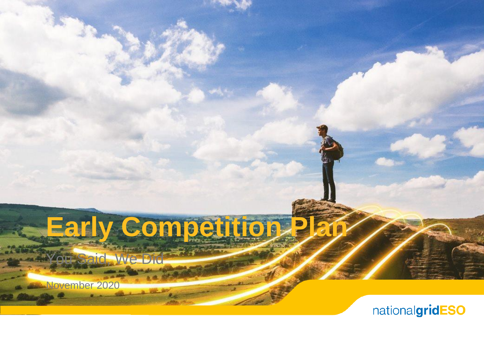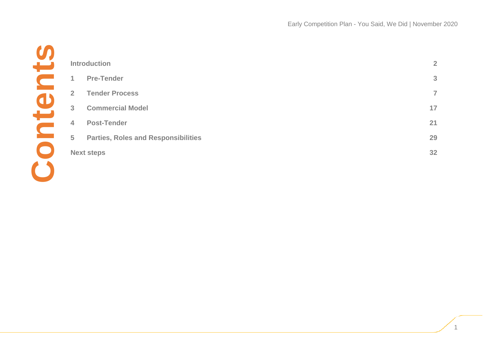|                | <b>Introduction</b>                        | $\overline{2}$ |
|----------------|--------------------------------------------|----------------|
| $\mathbf{1}$   | <b>Pre-Tender</b>                          | 3              |
| $\overline{2}$ | <b>Tender Process</b>                      | $\overline{7}$ |
| 3              | <b>Commercial Model</b>                    | 17             |
| $\overline{4}$ | <b>Post-Tender</b>                         | 21             |
| 5              | <b>Parties, Roles and Responsibilities</b> | 29             |
|                | <b>Next steps</b>                          | 32             |
|                |                                            |                |
|                |                                            |                |
|                |                                            |                |
|                |                                            |                |
|                |                                            |                |
|                |                                            |                |
|                |                                            |                |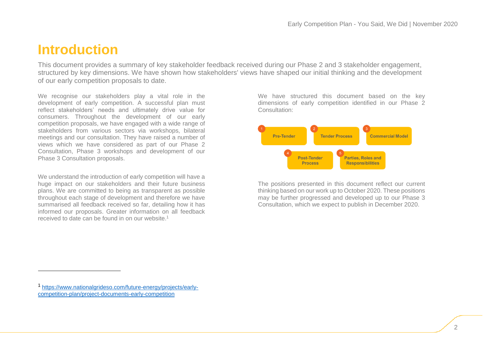## <span id="page-2-0"></span>**Introduction**

This document provides a summary of key stakeholder feedback received during our Phase 2 and 3 stakeholder engagement, structured by key dimensions. We have shown how stakeholders' views have shaped our initial thinking and the development of our early competition proposals to date.

We recognise our stakeholders play a vital role in the development of early competition. A successful plan must reflect stakeholders' needs and ultimately drive value for consumers. Throughout the development of our early competition proposals, we have engaged with a wide range of stakeholders from various sectors via workshops, bilateral meetings and our consultation. They have raised a number of views which we have considered as part of our Phase 2 Consultation, Phase 3 workshops and development of our Phase 3 Consultation proposals.

We understand the introduction of early competition will have a huge impact on our stakeholders and their future business plans. We are committed to being as transparent as possible throughout each stage of development and therefore we have summarised all feedback received so far, detailing how it has informed our proposals. Greater information on all feedback received to date can be found in on our website. 1

We have structured this document based on the key dimensions of early competition identified in our Phase 2 Consultation:



The positions presented in this document reflect our current thinking based on our work up to October 2020. These positions may be further progressed and developed up to our Phase 3 Consultation, which we expect to publish in December 2020.

.

<sup>1</sup> [https://www.nationalgrideso.com/future-energy/projects/early](https://www.nationalgrideso.com/future-energy/projects/early-competition-plan/project-documents-early-competition)[competition-plan/project-documents-early-competition](https://www.nationalgrideso.com/future-energy/projects/early-competition-plan/project-documents-early-competition)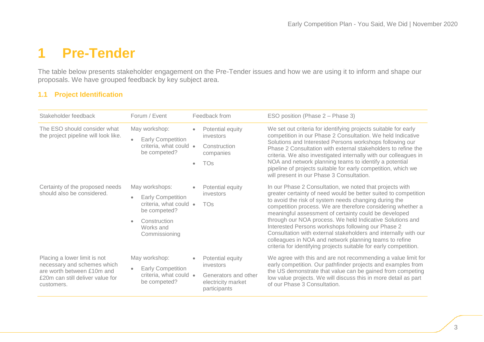# <span id="page-3-0"></span>**1 Pre-Tender**

The table below presents stakeholder engagement on the Pre-Tender issues and how we are using it to inform and shape our proposals. We have grouped feedback by key subject area.

#### **1.1 Project Identification**

| Stakeholder feedback                                                                                                                        | Forum / Event                                                                                                                      | Feedback from                                                                                      | ESO position (Phase 2 – Phase 3)                                                                                                                                                                                                                                                                                                                                                                                                                                                                                                                                                                                                  |
|---------------------------------------------------------------------------------------------------------------------------------------------|------------------------------------------------------------------------------------------------------------------------------------|----------------------------------------------------------------------------------------------------|-----------------------------------------------------------------------------------------------------------------------------------------------------------------------------------------------------------------------------------------------------------------------------------------------------------------------------------------------------------------------------------------------------------------------------------------------------------------------------------------------------------------------------------------------------------------------------------------------------------------------------------|
| The ESO should consider what<br>the project pipeline will look like.                                                                        | May workshop:<br><b>Early Competition</b><br>criteria, what could •<br>be competed?                                                | Potential equity<br>$\bullet$<br>investors<br>Construction<br>companies<br><b>TOs</b><br>$\bullet$ | We set out criteria for identifying projects suitable for early<br>competition in our Phase 2 Consultation. We held Indicative<br>Solutions and Interested Persons workshops following our<br>Phase 2 Consultation with external stakeholders to refine the<br>criteria. We also investigated internally with our colleagues in<br>NOA and network planning teams to identify a potential<br>pipeline of projects suitable for early competition, which we<br>will present in our Phase 3 Consultation.                                                                                                                           |
| Certainty of the proposed needs<br>should also be considered.                                                                               | May workshops:<br><b>Early Competition</b><br>criteria, what could •<br>be competed?<br>Construction<br>Works and<br>Commissioning | Potential equity<br>investors<br><b>TOs</b>                                                        | In our Phase 2 Consultation, we noted that projects with<br>greater certainty of need would be better suited to competition<br>to avoid the risk of system needs changing during the<br>competition process. We are therefore considering whether a<br>meaningful assessment of certainty could be developed<br>through our NOA process. We held Indicative Solutions and<br>Interested Persons workshops following our Phase 2<br>Consultation with external stakeholders and internally with our<br>colleagues in NOA and network planning teams to refine<br>criteria for identifying projects suitable for early competition. |
| Placing a lower limit is not<br>necessary and schemes which<br>are worth between £10m and<br>£20m can still deliver value for<br>customers. | May workshop:<br><b>Early Competition</b><br>criteria, what could •<br>be competed?                                                | Potential equity<br>investors<br>Generators and other<br>electricity market<br>participants        | We agree with this and are not recommending a value limit for<br>early competition. Our pathfinder projects and examples from<br>the US demonstrate that value can be gained from competing<br>low value projects. We will discuss this in more detail as part<br>of our Phase 3 Consultation.                                                                                                                                                                                                                                                                                                                                    |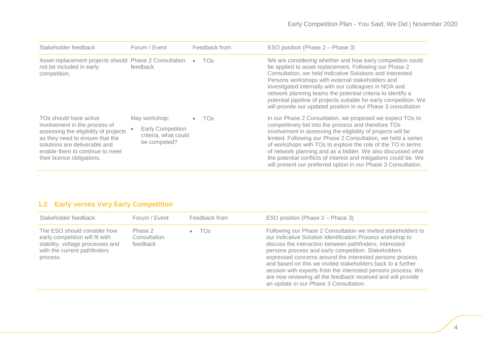| Stakeholder feedback                                                                                                                                                                                                                  | Forum / Event                                                                     | Feedback from   | ESO position (Phase 2 - Phase 3)                                                                                                                                                                                                                                                                                                                                                                                                                                                                                        |
|---------------------------------------------------------------------------------------------------------------------------------------------------------------------------------------------------------------------------------------|-----------------------------------------------------------------------------------|-----------------|-------------------------------------------------------------------------------------------------------------------------------------------------------------------------------------------------------------------------------------------------------------------------------------------------------------------------------------------------------------------------------------------------------------------------------------------------------------------------------------------------------------------------|
| Asset replacement projects should Phase 2 Consultation<br>not be included in early<br>competition.                                                                                                                                    | feedback                                                                          | TO <sub>S</sub> | We are considering whether and how early competition could<br>be applied to asset replacement. Following our Phase 2<br>Consultation, we held Indicative Solutions and Interested<br>Persons workshops with external stakeholders and<br>investigated internally with our colleagues in NOA and<br>network planning teams the potential criteria to identify a<br>potential pipeline of projects suitable for early competition. We<br>will provide our updated position in our Phase 3 consultation                    |
| TOs should have active<br>involvement in the process of<br>assessing the eligibility of projects<br>as they need to ensure that the<br>solutions are deliverable and<br>enable them to continue to meet<br>their licence obligations. | May workshop:<br><b>Early Competition</b><br>criteria, what could<br>be competed? | <b>TOs</b>      | In our Phase 2 Consultation, we proposed we expect TOs to<br>competitively bid into the process and therefore TOs<br>involvement in assessing the eligibility of projects will be<br>limited. Following our Phase 2 Consultation, we held a series<br>of workshops with TOs to explore the role of the TO in terms<br>of network planning and as a bidder. We also discussed what<br>the potential conflicts of interest and mitigations could be. We<br>will present our preferred option in our Phase 3 Consultation. |

### **1.2 Early verses Very Early Competition**

| Stakeholder feedback                                                                                                                           | Forum / Event                       | Feedback from   | ESO position (Phase 2 – Phase 3)                                                                                                                                                                                                                                                                                                                                                                                                                                                                                                                   |
|------------------------------------------------------------------------------------------------------------------------------------------------|-------------------------------------|-----------------|----------------------------------------------------------------------------------------------------------------------------------------------------------------------------------------------------------------------------------------------------------------------------------------------------------------------------------------------------------------------------------------------------------------------------------------------------------------------------------------------------------------------------------------------------|
| The ESO should consider how<br>early competition will fit with<br>stability, voltage processes and<br>with the current pathfinders<br>process. | Phase 2<br>Consultation<br>feedback | TO <sub>S</sub> | Following our Phase 2 Consultation we invited stakeholders to<br>our Indicative Solution Identification Process workshop to<br>discuss the interaction between pathfinders, interested<br>persons process and early competition. Stakeholders<br>expressed concerns around the interested persons process<br>and based on this we invited stakeholders back to a further<br>session with experts from the interested persons process. We<br>are now reviewing all the feedback received and will provide<br>an update in our Phase 3 Consultation. |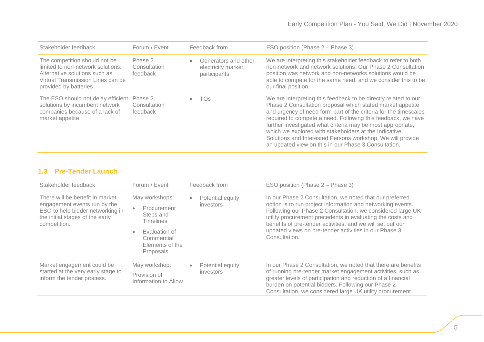| Stakeholder feedback                                                                                                                                               | Forum / Event                       | Feedback from                                                           | ESO position (Phase 2 – Phase 3)                                                                                                                                                                                                                                                                                                                                                                                                                                                                                |
|--------------------------------------------------------------------------------------------------------------------------------------------------------------------|-------------------------------------|-------------------------------------------------------------------------|-----------------------------------------------------------------------------------------------------------------------------------------------------------------------------------------------------------------------------------------------------------------------------------------------------------------------------------------------------------------------------------------------------------------------------------------------------------------------------------------------------------------|
| The competition should not be<br>limited to non-network solutions.<br>Alternative solutions such as<br>Virtual Transmission Lines can be<br>provided by batteries. | Phase 2<br>Consultation<br>feedback | Generators and other<br>$\bullet$<br>electricity market<br>participants | We are interpreting this stakeholder feedback to refer to both<br>non-network and network solutions. Our Phase 2 Consultation<br>position was network and non-networks solutions would be<br>able to compete for the same need, and we consider this to be<br>our final position.                                                                                                                                                                                                                               |
| The ESO should not delay efficient Phase 2<br>solutions by incumbent network<br>companies because of a lack of<br>market appetite.                                 | Consultation<br>feedback            | TOs<br>٠                                                                | We are interpreting this feedback to be directly related to our<br>Phase 2 Consultation proposal which stated market appetite<br>and urgency of need form part of the criteria for the timescales<br>required to compete a need. Following this feedback, we have<br>further investigated what criteria may be most appropriate,<br>which we explored with stakeholders at the Indicative<br>Solutions and Interested Persons workshop. We will provide<br>an updated view on this in our Phase 3 Consultation. |

### **1.3 Pre-Tender Launch**

| Stakeholder feedback                                                                                                                                   | Forum / Event                                                               |           | Feedback from                                                          | ESO position (Phase 2 – Phase 3)                                                                                                                                                                                                                                                                                  |
|--------------------------------------------------------------------------------------------------------------------------------------------------------|-----------------------------------------------------------------------------|-----------|------------------------------------------------------------------------|-------------------------------------------------------------------------------------------------------------------------------------------------------------------------------------------------------------------------------------------------------------------------------------------------------------------|
| There will be benefit in market<br>engagement events run by the<br>ESO to help bidder networking in<br>the initial stages of the early<br>competition. | May workshops:<br>Procurement<br>$\bullet$<br>Steps and<br><b>Timelines</b> | $\bullet$ | Potential equity<br>investors                                          | In our Phase 2 Consultation, we noted that our preferred<br>option is to run project information and networking events.<br>Following our Phase 2 Consultation, we considered large UK<br>utility procurement precedents in evaluating the costs and<br>benefits of pre-tender activities, and we will set out our |
|                                                                                                                                                        | Evaluation of<br>$\bullet$<br>Commercial<br>Elements of the<br>Proposals    |           | updated views on pre-tender activities in our Phase 3<br>Consultation. |                                                                                                                                                                                                                                                                                                                   |
| Market engagement could be                                                                                                                             | May workshop:                                                               | $\bullet$ | Potential equity                                                       | In our Phase 2 Consultation, we noted that there are benefits<br>of running pre-tender market engagement activities, such as<br>greater levels of participation and reduction of a financial<br>burden on potential bidders. Following our Phase 2<br>Consultation, we considered large UK utility procurement    |
| started at the very early stage to<br>inform the tender process.                                                                                       | Provision of<br>Information to Allow                                        |           | investors                                                              |                                                                                                                                                                                                                                                                                                                   |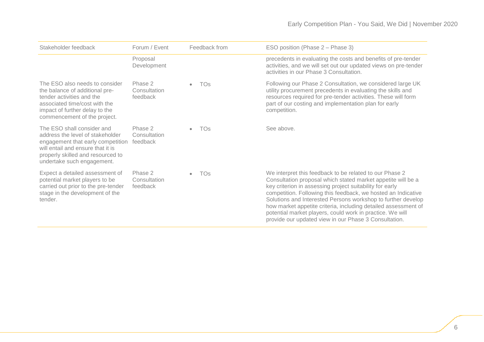<span id="page-6-0"></span>

| Stakeholder feedback                                                                                                                                                                                        | Forum / Event                       | Feedback from                | ESO position (Phase 2 – Phase 3)                                                                                                                                                                                                                                                                                                                                                                                                                                                                             |
|-------------------------------------------------------------------------------------------------------------------------------------------------------------------------------------------------------------|-------------------------------------|------------------------------|--------------------------------------------------------------------------------------------------------------------------------------------------------------------------------------------------------------------------------------------------------------------------------------------------------------------------------------------------------------------------------------------------------------------------------------------------------------------------------------------------------------|
|                                                                                                                                                                                                             | Proposal<br>Development             |                              | precedents in evaluating the costs and benefits of pre-tender<br>activities, and we will set out our updated views on pre-tender<br>activities in our Phase 3 Consultation.                                                                                                                                                                                                                                                                                                                                  |
| The ESO also needs to consider<br>the balance of additional pre-<br>tender activities and the<br>associated time/cost with the<br>impact of further delay to the<br>commencement of the project.            | Phase 2<br>Consultation<br>feedback | <b>TOs</b><br>$\bullet$      | Following our Phase 2 Consultation, we considered large UK<br>utility procurement precedents in evaluating the skills and<br>resources required for pre-tender activities. These will form<br>part of our costing and implementation plan for early<br>competition.                                                                                                                                                                                                                                          |
| The ESO shall consider and<br>address the level of stakeholder<br>engagement that early competition<br>will entail and ensure that it is<br>properly skilled and resourced to<br>undertake such engagement. | Phase 2<br>Consultation<br>feedback | TO <sub>S</sub><br>$\bullet$ | See above.                                                                                                                                                                                                                                                                                                                                                                                                                                                                                                   |
| Expect a detailed assessment of<br>potential market players to be<br>carried out prior to the pre-tender<br>stage in the development of the<br>tender.                                                      | Phase 2<br>Consultation<br>feedback | <b>TOs</b><br>$\bullet$      | We interpret this feedback to be related to our Phase 2<br>Consultation proposal which stated market appetite will be a<br>key criterion in assessing project suitability for early<br>competition. Following this feedback, we hosted an Indicative<br>Solutions and Interested Persons workshop to further develop<br>how market appetite criteria, including detailed assessment of<br>potential market players, could work in practice. We will<br>provide our updated view in our Phase 3 Consultation. |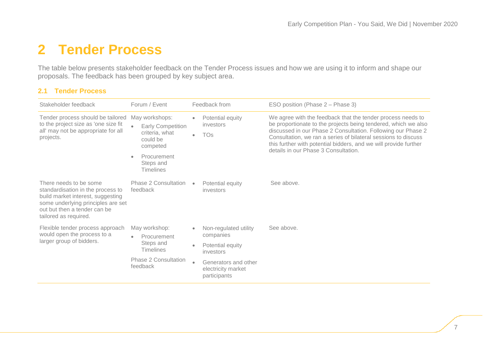# **2 Tender Process**

The table below presents stakeholder feedback on the Tender Process issues and how we are using it to inform and shape our proposals. The feedback has been grouped by key subject area.

#### **2.1 Tender Process**

| Stakeholder feedback                                                                                                                                                                            | Forum / Event                                                                        |                                                                       | Feedback from                                                                                                                                                                                                                                                                                                                                                               | ESO position (Phase 2 – Phase 3) |
|-------------------------------------------------------------------------------------------------------------------------------------------------------------------------------------------------|--------------------------------------------------------------------------------------|-----------------------------------------------------------------------|-----------------------------------------------------------------------------------------------------------------------------------------------------------------------------------------------------------------------------------------------------------------------------------------------------------------------------------------------------------------------------|----------------------------------|
| Tender process should be tailored<br>to the project size as 'one size fit<br>all' may not be appropriate for all<br>projects.                                                                   | May workshops:<br><b>Early Competition</b><br>criteria, what<br>could be<br>competed | Potential equity<br>$\bullet$<br>investors<br><b>TOs</b><br>$\bullet$ | We agree with the feedback that the tender process needs to<br>be proportionate to the projects being tendered, which we also<br>discussed in our Phase 2 Consultation. Following our Phase 2<br>Consultation, we ran a series of bilateral sessions to discuss<br>this further with potential bidders, and we will provide further<br>details in our Phase 3 Consultation. |                                  |
|                                                                                                                                                                                                 | Procurement<br>Steps and<br><b>Timelines</b>                                         |                                                                       |                                                                                                                                                                                                                                                                                                                                                                             |                                  |
| There needs to be some<br>standardisation in the process to<br>build market interest, suggesting<br>some underlying principles are set<br>out but then a tender can be<br>tailored as required. | Phase 2 Consultation<br>feedback                                                     | $\bullet$                                                             | Potential equity<br>investors                                                                                                                                                                                                                                                                                                                                               | See above.                       |
| Flexible tender process approach<br>would open the process to a                                                                                                                                 | May workshop:<br>Procurement<br>$\bullet$<br>Steps and<br><b>Timelines</b>           | $\bullet$                                                             | Non-regulated utility<br>companies                                                                                                                                                                                                                                                                                                                                          | See above.                       |
| larger group of bidders.                                                                                                                                                                        |                                                                                      | $\bullet$                                                             | Potential equity<br>investors                                                                                                                                                                                                                                                                                                                                               |                                  |
|                                                                                                                                                                                                 | Phase 2 Consultation<br>feedback                                                     | $\qquad \qquad \bullet$                                               | Generators and other<br>electricity market<br>participants                                                                                                                                                                                                                                                                                                                  |                                  |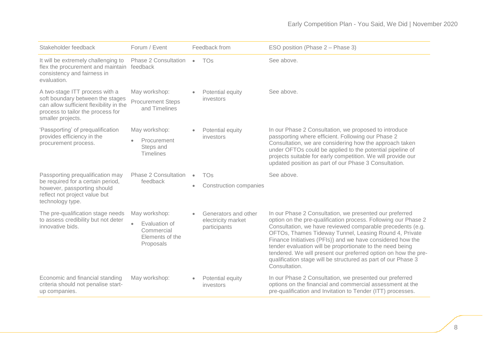| Stakeholder feedback                                                                                                                                                    | Forum / Event                                                                             |                        | Feedback from                                              | ESO position (Phase 2 – Phase 3)                                                                                                                                                                                                                                                                                                                                                                                                                                                                                                 |
|-------------------------------------------------------------------------------------------------------------------------------------------------------------------------|-------------------------------------------------------------------------------------------|------------------------|------------------------------------------------------------|----------------------------------------------------------------------------------------------------------------------------------------------------------------------------------------------------------------------------------------------------------------------------------------------------------------------------------------------------------------------------------------------------------------------------------------------------------------------------------------------------------------------------------|
| It will be extremely challenging to<br>flex the procurement and maintain feedback<br>consistency and fairness in<br>evaluation.                                         | Phase 2 Consultation •                                                                    |                        | <b>TOs</b>                                                 | See above.                                                                                                                                                                                                                                                                                                                                                                                                                                                                                                                       |
| A two-stage ITT process with a<br>soft boundary between the stages<br>can allow sufficient flexibility in the<br>process to tailor the process for<br>smaller projects. | May workshop:<br><b>Procurement Steps</b><br>and Timelines                                | $\bullet$              | Potential equity<br>investors                              | See above.                                                                                                                                                                                                                                                                                                                                                                                                                                                                                                                       |
| 'Passporting' of prequalification<br>provides efficiency in the<br>procurement process.                                                                                 | May workshop:<br>Procurement<br>Steps and<br><b>Timelines</b>                             | $\bullet$              | Potential equity<br>investors                              | In our Phase 2 Consultation, we proposed to introduce<br>passporting where efficient. Following our Phase 2<br>Consultation, we are considering how the approach taken<br>under OFTOs could be applied to the potential pipeline of<br>projects suitable for early competition. We will provide our<br>updated position as part of our Phase 3 Consultation.                                                                                                                                                                     |
| Passporting prequalification may<br>be required for a certain period,<br>however, passporting should<br>reflect not project value but<br>technology type.               | <b>Phase 2 Consultation</b><br>feedback                                                   | $\bullet$<br>$\bullet$ | <b>TOs</b><br><b>Construction companies</b>                | See above.                                                                                                                                                                                                                                                                                                                                                                                                                                                                                                                       |
| The pre-qualification stage needs<br>to assess credibility but not deter<br>innovative bids.                                                                            | May workshop:<br>Evaluation of<br>$\bullet$<br>Commercial<br>Elements of the<br>Proposals | $\bullet$              | Generators and other<br>electricity market<br>participants | In our Phase 2 Consultation, we presented our preferred<br>option on the pre-qualification process. Following our Phase 2<br>Consultation, we have reviewed comparable precedents (e.g.<br>OFTOs, Thames Tideway Tunnel, Leasing Round 4, Private<br>Finance Initiatives (PFIs)) and we have considered how the<br>tender evaluation will be proportionate to the need being<br>tendered. We will present our preferred option on how the pre-<br>qualification stage will be structured as part of our Phase 3<br>Consultation. |
| Economic and financial standing<br>criteria should not penalise start-<br>up companies.                                                                                 | May workshop:                                                                             | $\bullet$              | Potential equity<br>investors                              | In our Phase 2 Consultation, we presented our preferred<br>options on the financial and commercial assessment at the<br>pre-qualification and Invitation to Tender (ITT) processes.                                                                                                                                                                                                                                                                                                                                              |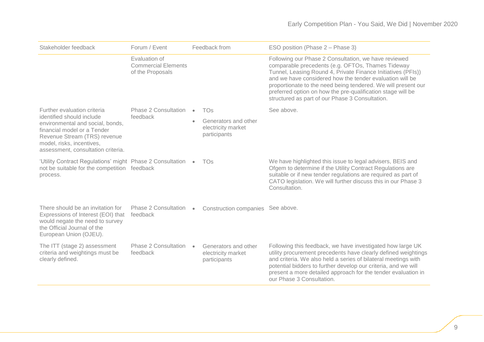| Stakeholder feedback                                                                                                                                                                            | Forum / Event                                                   |           | Feedback from                                              | ESO position (Phase 2 – Phase 3)                                                                                                                                                                                                                                                                                                                                                                                         |
|-------------------------------------------------------------------------------------------------------------------------------------------------------------------------------------------------|-----------------------------------------------------------------|-----------|------------------------------------------------------------|--------------------------------------------------------------------------------------------------------------------------------------------------------------------------------------------------------------------------------------------------------------------------------------------------------------------------------------------------------------------------------------------------------------------------|
|                                                                                                                                                                                                 | Evaluation of<br><b>Commercial Elements</b><br>of the Proposals |           |                                                            | Following our Phase 2 Consultation, we have reviewed<br>comparable precedents (e.g. OFTOs, Thames Tideway<br>Tunnel, Leasing Round 4, Private Finance Initiatives (PFIs))<br>and we have considered how the tender evaluation will be<br>proportionate to the need being tendered. We will present our<br>preferred option on how the pre-qualification stage will be<br>structured as part of our Phase 3 Consultation. |
| Further evaluation criteria                                                                                                                                                                     | Phase 2 Consultation                                            | $\bullet$ | <b>TOs</b>                                                 | See above.                                                                                                                                                                                                                                                                                                                                                                                                               |
| identified should include<br>environmental and social, bonds,<br>financial model or a Tender<br>Revenue Stream (TRS) revenue<br>model, risks, incentives,<br>assessment, consultation criteria. | feedback                                                        | $\bullet$ | Generators and other<br>electricity market<br>participants |                                                                                                                                                                                                                                                                                                                                                                                                                          |
| 'Utility Contract Regulations' might Phase 2 Consultation<br>not be suitable for the competition feedback<br>process.                                                                           |                                                                 | $\bullet$ | <b>TOs</b>                                                 | We have highlighted this issue to legal advisers, BEIS and<br>Ofgem to determine if the Utility Contract Regulations are<br>suitable or if new tender regulations are required as part of<br>CATO legislation. We will further discuss this in our Phase 3<br>Consultation.                                                                                                                                              |
| There should be an invitation for<br>Expressions of Interest (EOI) that<br>would negate the need to survey<br>the Official Journal of the<br>European Union (OJEU).                             | Phase 2 Consultation<br>feedback                                | $\bullet$ | Construction companies See above.                          |                                                                                                                                                                                                                                                                                                                                                                                                                          |
| The ITT (stage 2) assessment<br>criteria and weightings must be<br>clearly defined.                                                                                                             | Phase 2 Consultation<br>feedback                                | $\bullet$ | Generators and other<br>electricity market<br>participants | Following this feedback, we have investigated how large UK<br>utility procurement precedents have clearly defined weightings<br>and criteria. We also held a series of bilateral meetings with<br>potential bidders to further develop our criteria, and we will<br>present a more detailed approach for the tender evaluation in<br>our Phase 3 Consultation.                                                           |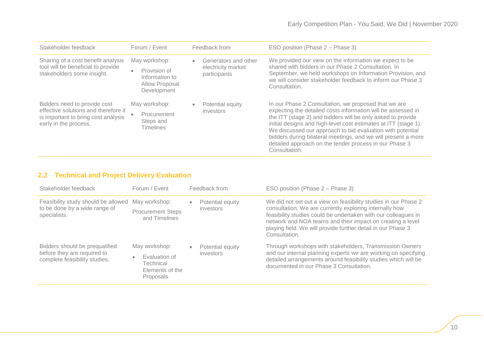| Stakeholder feedback                                                                                                                 | Forum / Event                                                                    | Feedback from                                                           | ESO position (Phase 2 – Phase 3)                                                                                                                                                                                                                                                                                                                                                                                                                                 |
|--------------------------------------------------------------------------------------------------------------------------------------|----------------------------------------------------------------------------------|-------------------------------------------------------------------------|------------------------------------------------------------------------------------------------------------------------------------------------------------------------------------------------------------------------------------------------------------------------------------------------------------------------------------------------------------------------------------------------------------------------------------------------------------------|
| Sharing of a cost benefit analysis<br>tool will be beneficial to provide<br>stakeholders some insight.                               | May workshop:<br>Provision of<br>Information to<br>Allow Proposal<br>Development | Generators and other<br>$\bullet$<br>electricity market<br>participants | We provided our view on the information we expect to be<br>shared with bidders in our Phase 2 Consultation. In<br>September, we held workshops on Information Provision, and<br>we will consider stakeholder feedback to inform our Phase 3<br>Consultation.                                                                                                                                                                                                     |
| Bidders need to provide cost<br>effective solutions and therefore it<br>is important to bring cost analysis<br>early in the process. | May workshop:<br>Procurement<br>Steps and<br><b>Timelines</b>                    | Potential equity<br>$\bullet$<br>investors                              | In our Phase 2 Consultation, we proposed that we are<br>expecting the detailed costs information will be assessed in<br>the ITT (stage 2) and bidders will be only asked to provide<br>initial designs and high-level cost estimates at ITT (stage 1).<br>We discussed our approach to bid evaluation with potential<br>bidders during bilateral meetings, and we will present a more<br>detailed approach on the tender process in our Phase 3<br>Consultation. |

### **2.2 Technical and Project Delivery Evaluation**

| Stakeholder feedback                                                                               | Forum / Event                                                               | Feedback from                              | ESO position (Phase 2 – Phase 3)                                                                                                                                                                                                                                                                                                            |
|----------------------------------------------------------------------------------------------------|-----------------------------------------------------------------------------|--------------------------------------------|---------------------------------------------------------------------------------------------------------------------------------------------------------------------------------------------------------------------------------------------------------------------------------------------------------------------------------------------|
| Feasibility study should be allowed May workshop:<br>to be done by a wide range of<br>specialists. | <b>Procurement Steps</b><br>and Timelines                                   | Potential equity<br>$\bullet$<br>investors | We did not set out a view on feasibility studies in our Phase 2<br>consultation. We are currently exploring internally how<br>feasibility studies could be undertaken with our colleagues in<br>network and NOA teams and their impact on creating a level<br>playing field. We will provide further detail in our Phase 3<br>Consultation. |
| Bidders should be prequalified<br>before they are required to<br>complete feasibility studies.     | May workshop:<br>Evaluation of<br>Technical<br>Elements of the<br>Proposals | Potential equity<br>$\bullet$<br>investors | Through workshops with stakeholders, Transmission Owners<br>and our internal planning experts we are working on specifying<br>detailed arrangements around feasibility studies which will be<br>documented in our Phase 3 Consultation.                                                                                                     |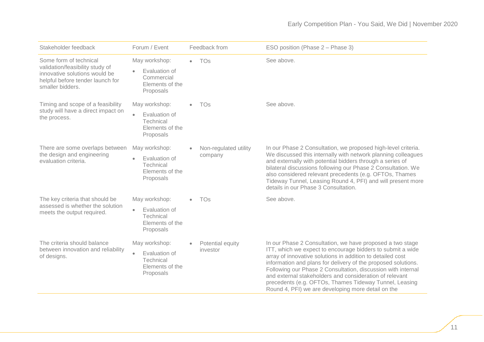| Stakeholder feedback                                                                                                                               | Forum / Event                                                                            | Feedback from                             | ESO position (Phase 2 – Phase 3)                                                                                                                                                                                                                                                                                                                                                                                                                                                                  |
|----------------------------------------------------------------------------------------------------------------------------------------------------|------------------------------------------------------------------------------------------|-------------------------------------------|---------------------------------------------------------------------------------------------------------------------------------------------------------------------------------------------------------------------------------------------------------------------------------------------------------------------------------------------------------------------------------------------------------------------------------------------------------------------------------------------------|
| Some form of technical<br>validation/feasibility study of<br>innovative solutions would be<br>helpful before tender launch for<br>smaller bidders. | May workshop:<br>Evaluation of<br>Commercial<br>Elements of the<br>Proposals             | <b>TOs</b><br>$\bullet$                   | See above.                                                                                                                                                                                                                                                                                                                                                                                                                                                                                        |
| Timing and scope of a feasibility<br>study will have a direct impact on<br>the process.                                                            | May workshop:<br>Evaluation of<br>$\bullet$<br>Technical<br>Elements of the<br>Proposals | <b>TOs</b><br>$\bullet$                   | See above.                                                                                                                                                                                                                                                                                                                                                                                                                                                                                        |
| There are some overlaps between<br>the design and engineering<br>evaluation criteria.                                                              | May workshop:<br>Evaluation of<br>$\bullet$<br>Technical<br>Elements of the<br>Proposals | Non-regulated utility<br>company          | In our Phase 2 Consultation, we proposed high-level criteria.<br>We discussed this internally with network planning colleagues<br>and externally with potential bidders through a series of<br>bilateral discussions following our Phase 2 Consultation. We<br>also considered relevant precedents (e.g. OFTOs, Thames<br>Tideway Tunnel, Leasing Round 4, PFI) and will present more<br>details in our Phase 3 Consultation.                                                                     |
| The key criteria that should be<br>assessed is whether the solution<br>meets the output required.                                                  | May workshop:<br>Evaluation of<br>$\bullet$<br>Technical<br>Elements of the<br>Proposals | <b>TOs</b>                                | See above.                                                                                                                                                                                                                                                                                                                                                                                                                                                                                        |
| The criteria should balance<br>between innovation and reliability<br>of designs.                                                                   | May workshop:<br>Evaluation of<br>$\bullet$<br>Technical<br>Elements of the<br>Proposals | Potential equity<br>$\bullet$<br>investor | In our Phase 2 Consultation, we have proposed a two stage<br>ITT, which we expect to encourage bidders to submit a wide<br>array of innovative solutions in addition to detailed cost<br>information and plans for delivery of the proposed solutions.<br>Following our Phase 2 Consultation, discussion with internal<br>and external stakeholders and consideration of relevant<br>precedents (e.g. OFTOs, Thames Tideway Tunnel, Leasing<br>Round 4, PFI) we are developing more detail on the |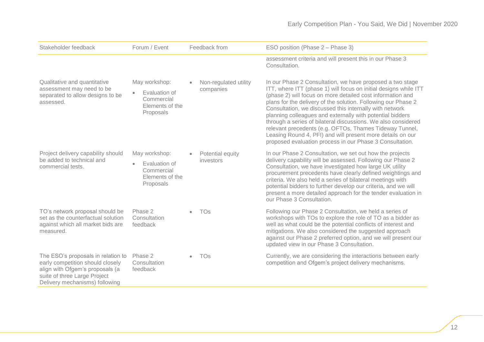| Stakeholder feedback                                                                                                                                                        | Forum / Event                                                                             | Feedback from                                   | ESO position (Phase 2 - Phase 3)                                                                                                                                                                                                                                                                                                                                                                                                                                                                                                                                                                                                           |
|-----------------------------------------------------------------------------------------------------------------------------------------------------------------------------|-------------------------------------------------------------------------------------------|-------------------------------------------------|--------------------------------------------------------------------------------------------------------------------------------------------------------------------------------------------------------------------------------------------------------------------------------------------------------------------------------------------------------------------------------------------------------------------------------------------------------------------------------------------------------------------------------------------------------------------------------------------------------------------------------------------|
|                                                                                                                                                                             |                                                                                           |                                                 | assessment criteria and will present this in our Phase 3<br>Consultation.                                                                                                                                                                                                                                                                                                                                                                                                                                                                                                                                                                  |
| Qualitative and quantitative<br>assessment may need to be<br>separated to allow designs to be<br>assessed.                                                                  | May workshop:<br>Evaluation of<br>$\bullet$<br>Commercial<br>Elements of the<br>Proposals | Non-regulated utility<br>$\bullet$<br>companies | In our Phase 2 Consultation, we have proposed a two stage<br>ITT, where ITT (phase 1) will focus on initial designs while ITT<br>(phase 2) will focus on more detailed cost information and<br>plans for the delivery of the solution. Following our Phase 2<br>Consultation, we discussed this internally with network<br>planning colleagues and externally with potential bidders<br>through a series of bilateral discussions. We also considered<br>relevant precedents (e.g. OFTOs, Thames Tideway Tunnel,<br>Leasing Round 4, PFI) and will present more details on our<br>proposed evaluation process in our Phase 3 Consultation. |
| Project delivery capability should<br>be added to technical and<br>commercial tests.                                                                                        | May workshop:<br>Evaluation of<br>$\bullet$<br>Commercial<br>Elements of the<br>Proposals | Potential equity<br>investors                   | In our Phase 2 Consultation, we set out how the projects<br>delivery capability will be assessed. Following our Phase 2<br>Consultation, we have investigated how large UK utility<br>procurement precedents have clearly defined weightings and<br>criteria. We also held a series of bilateral meetings with<br>potential bidders to further develop our criteria, and we will<br>present a more detailed approach for the tender evaluation in<br>our Phase 3 Consultation.                                                                                                                                                             |
| TO's network proposal should be<br>set as the counterfactual solution<br>against which all market bids are<br>measured.                                                     | Phase 2<br>Consultation<br>feedback                                                       | <b>TOs</b><br>$\bullet$                         | Following our Phase 2 Consultation, we held a series of<br>workshops with TOs to explore the role of TO as a bidder as<br>well as what could be the potential conflicts of interest and<br>mitigations. We also considered the suggested approach<br>against our Phase 2 preferred option, and we will present our<br>updated view in our Phase 3 Consultation.                                                                                                                                                                                                                                                                            |
| The ESO's proposals in relation to<br>early competition should closely<br>align with Ofgem's proposals (a<br>suite of three Large Project<br>Delivery mechanisms) following | Phase 2<br>Consultation<br>feedback                                                       | TOs<br>$\bullet$                                | Currently, we are considering the interactions between early<br>competition and Ofgem's project delivery mechanisms.                                                                                                                                                                                                                                                                                                                                                                                                                                                                                                                       |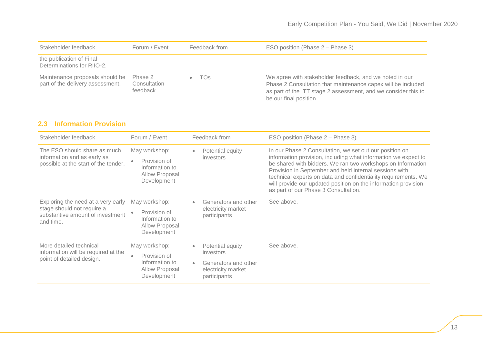| Stakeholder feedback                                                | Forum / Event                       | Feedback from | ESO position (Phase 2 – Phase 3)                                                                                                                                                                                    |
|---------------------------------------------------------------------|-------------------------------------|---------------|---------------------------------------------------------------------------------------------------------------------------------------------------------------------------------------------------------------------|
| the publication of Final<br>Determinations for RIIO-2.              |                                     |               |                                                                                                                                                                                                                     |
| Maintenance proposals should be<br>part of the delivery assessment. | Phase 2<br>Consultation<br>feedback | TOs           | We agree with stakeholder feedback, and we noted in our<br>Phase 2 Consultation that maintenance capex will be included<br>as part of the ITT stage 2 assessment, and we consider this to<br>be our final position. |

### **2.3 Information Provision**

| Stakeholder feedback                                                                                              | Forum / Event                                                                    | Feedback from                                                                                                                       | ESO position (Phase 2 – Phase 3)                                                                                                                                                                                                                                                                                                                                                                                               |
|-------------------------------------------------------------------------------------------------------------------|----------------------------------------------------------------------------------|-------------------------------------------------------------------------------------------------------------------------------------|--------------------------------------------------------------------------------------------------------------------------------------------------------------------------------------------------------------------------------------------------------------------------------------------------------------------------------------------------------------------------------------------------------------------------------|
| The ESO should share as much<br>information and as early as<br>possible at the start of the tender.               | May workshop:<br>Provision of<br>Information to<br>Allow Proposal<br>Development | Potential equity<br>$\bullet$<br><i>investors</i>                                                                                   | In our Phase 2 Consultation, we set out our position on<br>information provision, including what information we expect to<br>be shared with bidders. We ran two workshops on Information<br>Provision in September and held internal sessions with<br>technical experts on data and confidentiality requirements. We<br>will provide our updated position on the information provision<br>as part of our Phase 3 Consultation. |
| Exploring the need at a very early<br>stage should not require a<br>substantive amount of investment<br>and time. | May workshop:<br>Provision of<br>Information to<br>Allow Proposal<br>Development | Generators and other<br>$\bullet$<br>electricity market<br>participants                                                             | See above.                                                                                                                                                                                                                                                                                                                                                                                                                     |
| More detailed technical<br>information will be required at the<br>point of detailed design.                       | May workshop:<br>Provision of<br>Information to<br>Allow Proposal<br>Development | Potential equity<br>$\bullet$<br>investors<br>Generators and other<br>$\qquad \qquad \bullet$<br>electricity market<br>participants | See above.                                                                                                                                                                                                                                                                                                                                                                                                                     |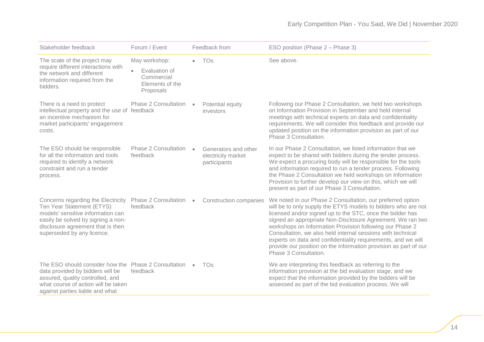| Stakeholder feedback                                                                                                                                                                                          | Forum / Event                                               |           | Feedback from                                              | ESO position (Phase 2 - Phase 3)                                                                                                                                                                                                                                                                                                                                                                                                                                                                                                                |
|---------------------------------------------------------------------------------------------------------------------------------------------------------------------------------------------------------------|-------------------------------------------------------------|-----------|------------------------------------------------------------|-------------------------------------------------------------------------------------------------------------------------------------------------------------------------------------------------------------------------------------------------------------------------------------------------------------------------------------------------------------------------------------------------------------------------------------------------------------------------------------------------------------------------------------------------|
| The scale of the project may                                                                                                                                                                                  | May workshop:                                               | $\bullet$ | TOs                                                        | See above.                                                                                                                                                                                                                                                                                                                                                                                                                                                                                                                                      |
| require different interactions with<br>the network and different<br>information required from the<br>bidders.                                                                                                 | Evaluation of<br>Commercial<br>Elements of the<br>Proposals |           |                                                            |                                                                                                                                                                                                                                                                                                                                                                                                                                                                                                                                                 |
| There is a need to protect<br>intellectual property and the use of feedback<br>an incentive mechanism for<br>market participants' engagement<br>costs.                                                        | <b>Phase 2 Consultation</b>                                 | $\bullet$ | Potential equity<br>investors                              | Following our Phase 2 Consultation, we held two workshops<br>on Information Provision in September and held internal<br>meetings with technical experts on data and confidentiality<br>requirements. We will consider this feedback and provide our<br>updated position on the information provision as part of our<br>Phase 3 Consultation.                                                                                                                                                                                                    |
| The ESO should be responsible<br>for all the information and tools<br>required to identify a network<br>constraint and run a tender<br>process.                                                               | <b>Phase 2 Consultation</b><br>feedback                     | $\bullet$ | Generators and other<br>electricity market<br>participants | In our Phase 2 Consultation, we listed information that we<br>expect to be shared with bidders during the tender process.<br>We expect a procuring body will be responsible for the tools<br>and information required to run a tender process. Following<br>the Phase 2 Consultation we held workshops on Information<br>Provision to further develop our view on this, which we will<br>present as part of our Phase 3 Consultation.                                                                                                           |
| Concerns regarding the Electricity<br>Ten Year Statement (ETYS)<br>models' sensitive information can<br>easily be solved by signing a non-<br>disclosure agreement that is then<br>superseded by any licence. | Phase 2 Consultation<br>feedback                            | $\bullet$ | <b>Construction companies</b>                              | We noted in our Phase 2 Consultation, our preferred option<br>will be to only supply the ETYS models to bidders who are not<br>licensed and/or signed up to the STC, once the bidder has<br>signed an appropriate Non-Disclosure Agreement. We ran two<br>workshops on Information Provision following our Phase 2<br>Consultation, we also held internal sessions with technical<br>experts on data and confidentiality requirements, and we will<br>provide our position on the information provision as part of our<br>Phase 3 Consultation. |
| The ESO should consider how the Phase 2 Consultation<br>data provided by bidders will be<br>assured, quality controlled, and<br>what course of action will be taken<br>against parties liable and what        | feedback                                                    | $\bullet$ | <b>TOs</b>                                                 | We are interpreting this feedback as referring to the<br>information provision at the bid evaluation stage, and we<br>expect that the information provided by the bidders will be<br>assessed as part of the bid evaluation process. We will                                                                                                                                                                                                                                                                                                    |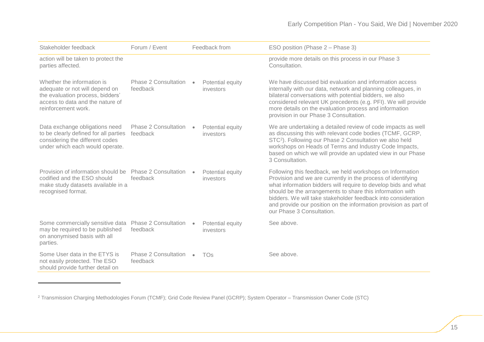| Stakeholder feedback                                                                                                                                        | Forum / Event                           |           | Feedback from                 | ESO position (Phase 2 – Phase 3)                                                                                                                                                                                                                                                                                                                                                                                           |
|-------------------------------------------------------------------------------------------------------------------------------------------------------------|-----------------------------------------|-----------|-------------------------------|----------------------------------------------------------------------------------------------------------------------------------------------------------------------------------------------------------------------------------------------------------------------------------------------------------------------------------------------------------------------------------------------------------------------------|
| action will be taken to protect the<br>parties affected.                                                                                                    |                                         |           |                               | provide more details on this process in our Phase 3<br>Consultation.                                                                                                                                                                                                                                                                                                                                                       |
| Whether the information is<br>adequate or not will depend on<br>the evaluation process, bidders'<br>access to data and the nature of<br>reinforcement work. | Phase 2 Consultation<br>feedback        | $\bullet$ | Potential equity<br>investors | We have discussed bid evaluation and information access<br>internally with our data, network and planning colleagues, in<br>bilateral conversations with potential bidders, we also<br>considered relevant UK precedents (e.g. PFI). We will provide<br>more details on the evaluation process and information<br>provision in our Phase 3 Consultation.                                                                   |
| Data exchange obligations need<br>to be clearly defined for all parties<br>considering the different codes<br>under which each would operate.               | Phase 2 Consultation<br>feedback        | $\bullet$ | Potential equity<br>investors | We are undertaking a detailed review of code impacts as well<br>as discussing this with relevant code bodies (TCMF, GCRP,<br>STC <sup>2</sup> ). Following our Phase 2 Consultation we also held<br>workshops on Heads of Terms and Industry Code Impacts,<br>based on which we will provide an updated view in our Phase<br>3 Consultation.                                                                               |
| Provision of information should be<br>codified and the ESO should<br>make study datasets available in a<br>recognised format.                               | Phase 2 Consultation<br>feedback        |           | Potential equity<br>investors | Following this feedback, we held workshops on Information<br>Provision and we are currently in the process of identifying<br>what information bidders will require to develop bids and what<br>should be the arrangements to share this information with<br>bidders. We will take stakeholder feedback into consideration<br>and provide our position on the information provision as part of<br>our Phase 3 Consultation. |
| Some commercially sensitive data<br>may be required to be published<br>on anonymised basis with all<br>parties.                                             | <b>Phase 2 Consultation</b><br>feedback | $\bullet$ | Potential equity<br>investors | See above.                                                                                                                                                                                                                                                                                                                                                                                                                 |
| Some User data in the ETYS is<br>not easily protected. The ESO<br>should provide further detail on                                                          | Phase 2 Consultation<br>feedback        | $\bullet$ | <b>TOs</b>                    | See above.                                                                                                                                                                                                                                                                                                                                                                                                                 |

-

<sup>2</sup> Transmission Charging Methodologies Forum (TCMF); Grid Code Review Panel (GCRP); System Operator – Transmission Owner Code (STC)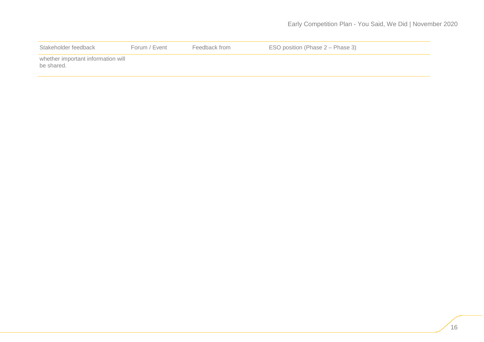| Stakeholder feedback                             | Forum / Event | Feedback from | ESO position (Phase 2 – Phase 3) |
|--------------------------------------------------|---------------|---------------|----------------------------------|
| whether important information will<br>be shared. |               |               |                                  |
|                                                  |               |               |                                  |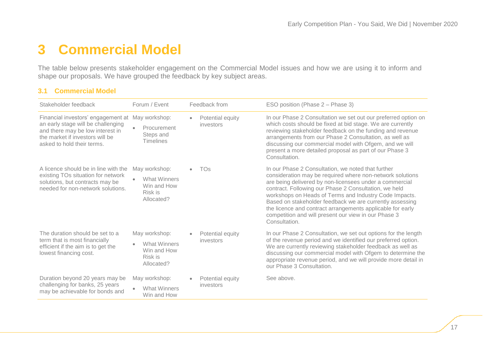# <span id="page-17-0"></span>**3 Commercial Model**

The table below presents stakeholder engagement on the Commercial Model issues and how we are using it to inform and shape our proposals. We have grouped the feedback by key subject areas.

#### **3.1 Commercial Model**

| Stakeholder feedback                                                                                                                                                                        | Forum / Event                                                                             | Feedback from                              | ESO position (Phase 2 – Phase 3)                                                                                                                                                                                                                                                                                                                                                                                                                                                                 |
|---------------------------------------------------------------------------------------------------------------------------------------------------------------------------------------------|-------------------------------------------------------------------------------------------|--------------------------------------------|--------------------------------------------------------------------------------------------------------------------------------------------------------------------------------------------------------------------------------------------------------------------------------------------------------------------------------------------------------------------------------------------------------------------------------------------------------------------------------------------------|
| Financial investors' engagement at May workshop:<br>an early stage will be challenging<br>and there may be low interest in<br>the market if investors will be<br>asked to hold their terms. | Procurement<br>Steps and<br><b>Timelines</b>                                              | Potential equity<br>$\bullet$<br>investors | In our Phase 2 Consultation we set out our preferred option on<br>which costs should be fixed at bid stage. We are currently<br>reviewing stakeholder feedback on the funding and revenue<br>arrangements from our Phase 2 Consultation, as well as<br>discussing our commercial model with Ofgem, and we will<br>present a more detailed proposal as part of our Phase 3<br>Consultation.                                                                                                       |
| A licence should be in line with the<br>existing TOs situation for network<br>solutions, but contracts may be<br>needed for non-network solutions.                                          | May workshop:<br><b>What Winners</b><br>$\bullet$<br>Win and How<br>Risk is<br>Allocated? | <b>TOs</b>                                 | In our Phase 2 Consultation, we noted that further<br>consideration may be required where non-network solutions<br>are being delivered by non-licensees under a commercial<br>contract. Following our Phase 2 Consultation, we held<br>workshops on Heads of Terms and Industry Code Impacts.<br>Based on stakeholder feedback we are currently assessing<br>the licence and contract arrangements applicable for early<br>competition and will present our view in our Phase 3<br>Consultation. |
| The duration should be set to a<br>term that is most financially<br>efficient if the aim is to get the<br>lowest financing cost.                                                            | May workshop:<br><b>What Winners</b><br>$\bullet$<br>Win and How<br>Risk is<br>Allocated? | Potential equity<br>investors              | In our Phase 2 Consultation, we set out options for the length<br>of the revenue period and we identified our preferred option.<br>We are currently reviewing stakeholder feedback as well as<br>discussing our commercial model with Ofgem to determine the<br>appropriate revenue period, and we will provide more detail in<br>our Phase 3 Consultation.                                                                                                                                      |
| Duration beyond 20 years may be<br>challenging for banks, 25 years<br>may be achievable for bonds and                                                                                       | May workshop:<br><b>What Winners</b><br>$\bullet$<br>Win and How                          | Potential equity<br>investors              | See above.                                                                                                                                                                                                                                                                                                                                                                                                                                                                                       |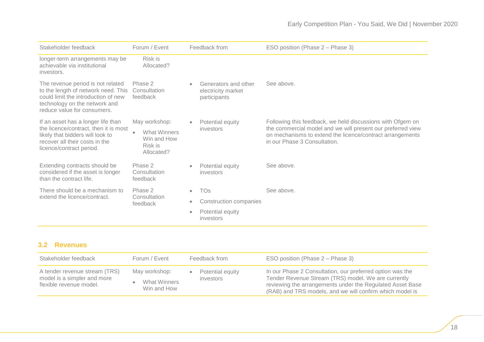| Stakeholder feedback                                                                                                                                                            | Forum / Event                                                                      | Feedback from                                                           | ESO position (Phase 2 – Phase 3)                                                                                                                                                                                       |
|---------------------------------------------------------------------------------------------------------------------------------------------------------------------------------|------------------------------------------------------------------------------------|-------------------------------------------------------------------------|------------------------------------------------------------------------------------------------------------------------------------------------------------------------------------------------------------------------|
| longer-term arrangements may be<br>achievable via institutional<br>investors.                                                                                                   | Risk is<br>Allocated?                                                              |                                                                         |                                                                                                                                                                                                                        |
| The revenue period is not related<br>to the length of network need. This<br>could limit the introduction of new<br>technology on the network and<br>reduce value for consumers. | Phase 2<br>Consultation<br>feedback                                                | Generators and other<br>$\bullet$<br>electricity market<br>participants | See above.                                                                                                                                                                                                             |
| If an asset has a longer life than<br>the licence/contract, then it is most<br>likely that bidders will look to<br>recover all their costs in the<br>licence/contract period.   | May workshop:<br>What Winners<br>$\bullet$<br>Win and How<br>Risk is<br>Allocated? | Potential equity<br>$\bullet$<br>investors                              | Following this feedback, we held discussions with Ofgem on<br>the commercial model and we will present our preferred view<br>on mechanisms to extend the licence/contract arrangements<br>in our Phase 3 Consultation. |
| Extending contracts should be<br>considered if the asset is longer<br>than the contract life.                                                                                   | Phase 2<br>Consultation<br>feedback                                                | Potential equity<br>$\bullet$<br>investors                              | See above.                                                                                                                                                                                                             |
| There should be a mechanism to                                                                                                                                                  | Phase 2                                                                            | <b>TOs</b><br>$\bullet$                                                 | See above.                                                                                                                                                                                                             |
| extend the licence/contract.                                                                                                                                                    | Consultation<br>$\bullet$<br>feedback                                              | Construction companies                                                  |                                                                                                                                                                                                                        |
|                                                                                                                                                                                 |                                                                                    | Potential equity<br>$\bullet$<br>investors                              |                                                                                                                                                                                                                        |

### **3.2 Revenues**

| Stakeholder feedback                                                                    | Forum / Event                                | Feedback from                 | ESO position (Phase 2 – Phase 3)                                                                                                                                                                                                          |
|-----------------------------------------------------------------------------------------|----------------------------------------------|-------------------------------|-------------------------------------------------------------------------------------------------------------------------------------------------------------------------------------------------------------------------------------------|
| A tender revenue stream (TRS)<br>model is a simpler and more<br>flexible revenue model. | May workshop:<br>What Winners<br>Win and How | Potential equity<br>investors | In our Phase 2 Consultation, our preferred option was the<br>Tender Revenue Stream (TRS) model. We are currently<br>reviewing the arrangements under the Regulated Asset Base<br>(RAB) and TRS models, and we will confirm which model is |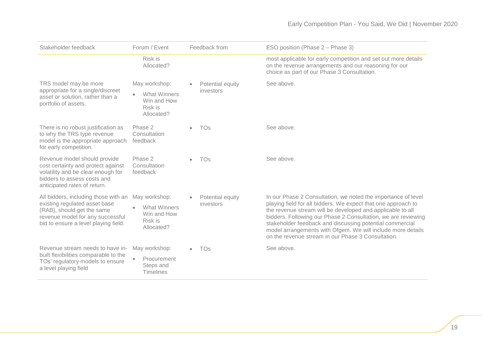| Stakeholder feedback                                                                                                                                                            | Forum / Event                                                                | Feedback from                 | ESO position (Phase 2 – Phase 3)                                                                                                                                                                                                                                                                                                                                                                                                               |
|---------------------------------------------------------------------------------------------------------------------------------------------------------------------------------|------------------------------------------------------------------------------|-------------------------------|------------------------------------------------------------------------------------------------------------------------------------------------------------------------------------------------------------------------------------------------------------------------------------------------------------------------------------------------------------------------------------------------------------------------------------------------|
|                                                                                                                                                                                 | Risk is<br>Allocated?                                                        |                               | most applicable for early competition and set out more details<br>on the revenue arrangements and our reasoning for our<br>choice as part of our Phase 3 Consultation.                                                                                                                                                                                                                                                                         |
| TRS model may be more<br>appropriate for a single/discreet                                                                                                                      | May workshop:                                                                | Potential equity<br>investors | See above.                                                                                                                                                                                                                                                                                                                                                                                                                                     |
| asset or solution, rather than a<br>portfolio of assets.                                                                                                                        | <b>What Winners</b><br>$\bullet$<br>Win and How<br>Risk is<br>Allocated?     |                               |                                                                                                                                                                                                                                                                                                                                                                                                                                                |
| There is no robust justification as<br>to why the TRS type revenue<br>model is the appropriate approach<br>for early competition.                                               | Phase 2<br>Consultation<br>feedback                                          | <b>TOs</b>                    | See above.                                                                                                                                                                                                                                                                                                                                                                                                                                     |
| Revenue model should provide<br>cost certainty and protect against<br>volatility and be clear enough for<br>bidders to assess costs and<br>anticipated rates of return.         | Phase 2<br>Consultation<br>feedback                                          | <b>TOs</b>                    | See above.                                                                                                                                                                                                                                                                                                                                                                                                                                     |
| All bidders, including those with an<br>existing regulated asset base<br>(RAB), should get the same<br>revenue model for any successful<br>bid to ensure a level playing field. | May workshop:<br><b>What Winners</b><br>Win and How<br>Risk is<br>Allocated? | Potential equity<br>investors | In our Phase 2 Consultation, we noted the importance of level<br>playing field for all bidders. We expect that one approach to<br>the revenue stream will be developed and applicable to all<br>bidders. Following our Phase 2 Consultation, we are reviewing<br>stakeholder feedback and discussing potential commercial<br>model arrangements with Ofgem. We will include more details<br>on the revenue stream in our Phase 3 Consultation. |
| Revenue stream needs to have in-                                                                                                                                                | May workshop:                                                                | <b>TOs</b>                    | See above.                                                                                                                                                                                                                                                                                                                                                                                                                                     |
| built flexibilities comparable to the<br>TOs' regulatory models to ensure<br>a level playing field                                                                              | Procurement<br>Steps and<br><b>Timelines</b>                                 |                               |                                                                                                                                                                                                                                                                                                                                                                                                                                                |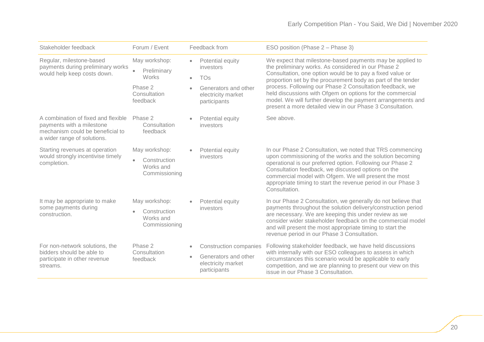| Stakeholder feedback                                                                                                                | Forum / Event                                                                             | Feedback from                                                                                                          | ESO position (Phase 2 – Phase 3)                                                                                                                                                                                                                                                                                                                                                                                                                                                                   |
|-------------------------------------------------------------------------------------------------------------------------------------|-------------------------------------------------------------------------------------------|------------------------------------------------------------------------------------------------------------------------|----------------------------------------------------------------------------------------------------------------------------------------------------------------------------------------------------------------------------------------------------------------------------------------------------------------------------------------------------------------------------------------------------------------------------------------------------------------------------------------------------|
| Regular, milestone-based<br>payments during preliminary works<br>would help keep costs down.                                        | May workshop:<br>Preliminary<br>$\bullet$<br>Works<br>Phase 2<br>Consultation<br>feedback | Potential equity<br>investors<br><b>TOs</b><br>$\bullet$<br>Generators and other<br>electricity market<br>participants | We expect that milestone-based payments may be applied to<br>the preliminary works. As considered in our Phase 2<br>Consultation, one option would be to pay a fixed value or<br>proportion set by the procurement body as part of the tender<br>process. Following our Phase 2 Consultation feedback, we<br>held discussions with Ofgem on options for the commercial<br>model. We will further develop the payment arrangements and<br>present a more detailed view in our Phase 3 Consultation. |
| A combination of fixed and flexible<br>payments with a milestone<br>mechanism could be beneficial to<br>a wider range of solutions. | Phase 2<br>Consultation<br>feedback                                                       | Potential equity<br>investors                                                                                          | See above.                                                                                                                                                                                                                                                                                                                                                                                                                                                                                         |
| Starting revenues at operation<br>would strongly incentivise timely<br>completion.                                                  | May workshop:<br>Construction<br>$\bullet$<br>Works and<br>Commissioning                  | Potential equity<br>investors                                                                                          | In our Phase 2 Consultation, we noted that TRS commencing<br>upon commissioning of the works and the solution becoming<br>operational is our preferred option. Following our Phase 2<br>Consultation feedback, we discussed options on the<br>commercial model with Ofgem. We will present the most<br>appropriate timing to start the revenue period in our Phase 3<br>Consultation.                                                                                                              |
| It may be appropriate to make<br>some payments during<br>construction.                                                              | May workshop:<br>Construction<br>$\bullet$<br>Works and<br>Commissioning                  | Potential equity<br>investors                                                                                          | In our Phase 2 Consultation, we generally do not believe that<br>payments throughout the solution delivery/construction period<br>are necessary. We are keeping this under review as we<br>consider wider stakeholder feedback on the commercial model<br>and will present the most appropriate timing to start the<br>revenue period in our Phase 3 Consultation.                                                                                                                                 |
| For non-network solutions, the<br>bidders should be able to<br>participate in other revenue<br>streams.                             | Phase 2<br>Consultation<br>feedback                                                       | <b>Construction companies</b><br>Generators and other<br>$\bullet$<br>electricity market<br>participants               | Following stakeholder feedback, we have held discussions<br>with internally with our ESO colleagues to assess in which<br>circumstances this scenario would be applicable to early<br>competition, and we are planning to present our view on this<br>issue in our Phase 3 Consultation.                                                                                                                                                                                                           |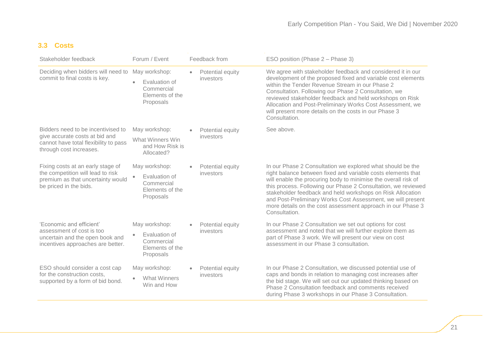### **3.3 Costs**

<span id="page-21-0"></span>

| Stakeholder feedback                                                                                                                     | Forum / Event                                                                             | Feedback from                              | ESO position (Phase 2 – Phase 3)                                                                                                                                                                                                                                                                                                                                                                                                                                           |
|------------------------------------------------------------------------------------------------------------------------------------------|-------------------------------------------------------------------------------------------|--------------------------------------------|----------------------------------------------------------------------------------------------------------------------------------------------------------------------------------------------------------------------------------------------------------------------------------------------------------------------------------------------------------------------------------------------------------------------------------------------------------------------------|
| Deciding when bidders will need to<br>commit to final costs is key.                                                                      | May workshop:<br>Evaluation of<br>Commercial<br>Elements of the<br>Proposals              | Potential equity<br>$\bullet$<br>investors | We agree with stakeholder feedback and considered it in our<br>development of the proposed fixed and variable cost elements<br>within the Tender Revenue Stream in our Phase 2<br>Consultation. Following our Phase 2 Consultation, we<br>reviewed stakeholder feedback and held workshops on Risk<br>Allocation and Post-Preliminary Works Cost Assessment, we<br>will present more details on the costs in our Phase 3<br>Consultation.                                  |
| Bidders need to be incentivised to<br>give accurate costs at bid and<br>cannot have total flexibility to pass<br>through cost increases. | May workshop:<br>What Winners Win<br>and How Risk is<br>Allocated?                        | Potential equity<br>investors              | See above.                                                                                                                                                                                                                                                                                                                                                                                                                                                                 |
| Fixing costs at an early stage of<br>the competition will lead to risk<br>premium as that uncertainty would<br>be priced in the bids.    | May workshop:<br>Evaluation of<br>$\bullet$<br>Commercial<br>Elements of the<br>Proposals | Potential equity<br>investors              | In our Phase 2 Consultation we explored what should be the<br>right balance between fixed and variable costs elements that<br>will enable the procuring body to minimise the overall risk of<br>this process. Following our Phase 2 Consultation, we reviewed<br>stakeholder feedback and held workshops on Risk Allocation<br>and Post-Preliminary Works Cost Assessment, we will present<br>more details on the cost assessment approach in our Phase 3<br>Consultation. |
| 'Economic and efficient'<br>assessment of cost is too<br>uncertain and the open book and<br>incentives approaches are better.            | May workshop:<br>Evaluation of<br>$\bullet$<br>Commercial<br>Elements of the<br>Proposals | Potential equity<br>investors              | In our Phase 2 Consultation we set out options for cost<br>assessment and noted that we will further explore them as<br>part of Phase 3 work. We will present our view on cost<br>assessment in our Phase 3 consultation.                                                                                                                                                                                                                                                  |
| ESO should consider a cost cap<br>for the construction costs.<br>supported by a form of bid bond.                                        | May workshop:<br><b>What Winners</b><br>Win and How                                       | Potential equity<br>investors              | In our Phase 2 Consultation, we discussed potential use of<br>caps and bonds in relation to managing cost increases after<br>the bid stage. We will set out our updated thinking based on<br>Phase 2 Consultation feedback and comments received<br>during Phase 3 workshops in our Phase 3 Consultation.                                                                                                                                                                  |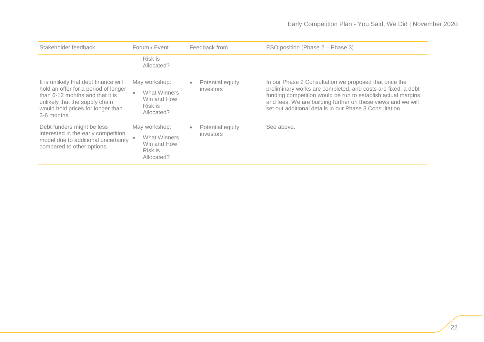| Stakeholder feedback                                                                                                                                                                                   | Forum / Event                                                                | Feedback from                              | ESO position (Phase 2 – Phase 3)                                                                                                                                                                                                                                                                                 |
|--------------------------------------------------------------------------------------------------------------------------------------------------------------------------------------------------------|------------------------------------------------------------------------------|--------------------------------------------|------------------------------------------------------------------------------------------------------------------------------------------------------------------------------------------------------------------------------------------------------------------------------------------------------------------|
|                                                                                                                                                                                                        | Risk is<br>Allocated?                                                        |                                            |                                                                                                                                                                                                                                                                                                                  |
| It is unlikely that debt finance will<br>hold an offer for a period of longer<br>than 6-12 months and that it is<br>unlikely that the supply chain<br>would hold prices for longer than<br>3-6 months. | May workshop:<br><b>What Winners</b><br>Win and How<br>Risk is<br>Allocated? | Potential equity<br>٠<br>investors         | In our Phase 2 Consultation we proposed that once the<br>preliminary works are completed, and costs are fixed, a debt<br>funding competition would be run to establish actual margins<br>and fees. We are building further on these views and we will<br>set out additional details in our Phase 3 Consultation. |
| Debt funders might be less<br>interested in the early competition<br>model due to additional uncertainty<br>compared to other options.                                                                 | May workshop:<br>What Winners<br>Win and How<br>Risk is<br>Allocated?        | Potential equity<br>$\bullet$<br>investors | See above.                                                                                                                                                                                                                                                                                                       |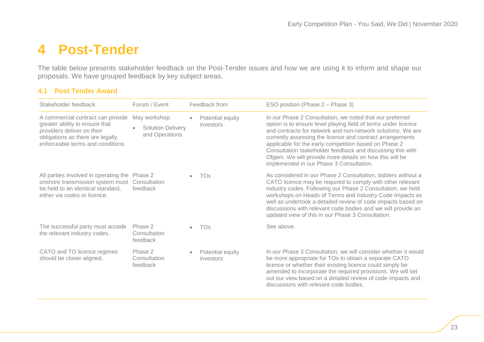## **4 Post-Tender**

The table below presents stakeholder feedback on the Post-Tender issues and how we are using it to inform and shape our proposals. We have grouped feedback by key subject areas.

| Stakeholder feedback                                                                                                                                                       | Forum / Event                                                            |           | Feedback from                 | ESO position (Phase 2 – Phase 3)                                                                                                                                                                                                                                                                                                                                                                                                                                                     |
|----------------------------------------------------------------------------------------------------------------------------------------------------------------------------|--------------------------------------------------------------------------|-----------|-------------------------------|--------------------------------------------------------------------------------------------------------------------------------------------------------------------------------------------------------------------------------------------------------------------------------------------------------------------------------------------------------------------------------------------------------------------------------------------------------------------------------------|
| A commercial contract can provide<br>greater ability to ensure that<br>providers deliver on their<br>obligations as there are legally<br>enforceable terms and conditions. | May workshop:<br><b>Solution Delivery</b><br>$\bullet$<br>and Operations | $\bullet$ | Potential equity<br>investors | In our Phase 2 Consultation, we noted that our preferred<br>option is to ensure level playing field of terms under licence<br>and contracts for network and non-network solutions. We are<br>currently assessing the licence and contract arrangements<br>applicable for the early competition based on Phase 2<br>Consultation stakeholder feedback and discussing this with<br>Ofgem. We will provide more details on how this will be<br>implemented in our Phase 3 Consultation. |
| All parties involved in operating the Phase 2<br>onshore transmission system must<br>be held to an identical standard,<br>either via codes or licence.                     | Consultation<br>feedback                                                 | $\bullet$ | TOs                           | As considered in our Phase 2 Consultation, bidders without a<br>CATO licence may be required to comply with other relevant<br>industry codes. Following our Phase 2 Consultation, we held<br>workshops on Heads of Terms and Industry Code Impacts as<br>well as undertook a detailed review of code impacts based on<br>discussions with relevant code bodies and we will provide an<br>updated view of this in our Phase 3 Consultation.                                           |
| The successful party must accede<br>the relevant industry codes.                                                                                                           | Phase 2<br>Consultation<br>feedback                                      | $\bullet$ | <b>TOs</b>                    | See above.                                                                                                                                                                                                                                                                                                                                                                                                                                                                           |
| CATO and TO licence regimes<br>should be closer aligned.                                                                                                                   | Phase 2<br>Consultation<br>feedback                                      |           | Potential equity<br>investors | In our Phase 3 Consultation, we will consider whether it would<br>be more appropriate for TOs to obtain a separate CATO<br>licence or whether their existing licence could simply be<br>amended to incorporate the required provisions. We will set<br>out our view based on a detailed review of code impacts and<br>discussions with relevant code bodies.                                                                                                                         |

#### **4.1 Post Tender Award**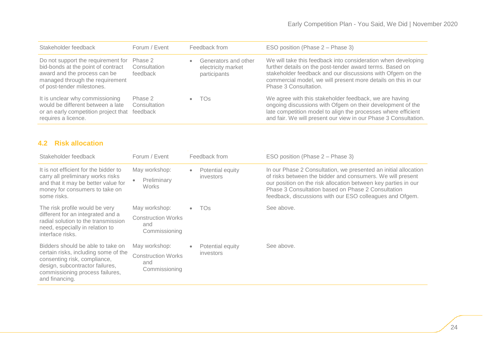| Stakeholder feedback                                                                                                                                                      | Forum / Event                       | Feedback from                                                   | ESO position (Phase 2 – Phase 3)                                                                                                                                                                                                                                                  |
|---------------------------------------------------------------------------------------------------------------------------------------------------------------------------|-------------------------------------|-----------------------------------------------------------------|-----------------------------------------------------------------------------------------------------------------------------------------------------------------------------------------------------------------------------------------------------------------------------------|
| Do not support the requirement for<br>bid-bonds at the point of contract<br>award and the process can be<br>managed through the requirement<br>of post-tender milestones. | Phase 2<br>Consultation<br>feedback | Generators and other<br>٠<br>electricity market<br>participants | We will take this feedback into consideration when developing<br>further details on the post-tender award terms. Based on<br>stakeholder feedback and our discussions with Ofgem on the<br>commercial model, we will present more details on this in our<br>Phase 3 Consultation. |
| It is unclear why commissioning<br>would be different between a late<br>or an early competition project that<br>requires a licence.                                       | Phase 2<br>Consultation<br>feedback | TOs<br>$\bullet$                                                | We agree with this stakeholder feedback, we are having<br>ongoing discussions with Ofgem on their development of the<br>late competition model to align the processes where efficient<br>and fair. We will present our view in our Phase 3 Consultation.                          |

### **4.2 Risk allocation**

| Stakeholder feedback                                                                                                                                                                              | Forum / Event                                                      | Feedback from                              | ESO position (Phase 2 – Phase 3)                                                                                                                                                                                                                                                                                  |
|---------------------------------------------------------------------------------------------------------------------------------------------------------------------------------------------------|--------------------------------------------------------------------|--------------------------------------------|-------------------------------------------------------------------------------------------------------------------------------------------------------------------------------------------------------------------------------------------------------------------------------------------------------------------|
| It is not efficient for the bidder to<br>carry all preliminary works risks<br>and that it may be better value for<br>money for consumers to take on<br>some risks.                                | May workshop:<br>Preliminary<br>۰<br><b>Works</b>                  | Potential equity<br>$\bullet$<br>investors | In our Phase 2 Consultation, we presented an initial allocation<br>of risks between the bidder and consumers. We will present<br>our position on the risk allocation between key parties in our<br>Phase 3 Consultation based on Phase 2 Consultation<br>feedback, discussions with our ESO colleagues and Ofgem. |
| The risk profile would be very<br>different for an integrated and a<br>radial solution to the transmission<br>need, especially in relation to<br>interface risks.                                 | May workshop:<br><b>Construction Works</b><br>and<br>Commissioning | <b>TOs</b><br>$\bullet$                    | See above.                                                                                                                                                                                                                                                                                                        |
| Bidders should be able to take on<br>certain risks, including some of the<br>consenting risk, compliance,<br>design, subcontractor failures,<br>commissioning process failures,<br>and financing. | May workshop:<br><b>Construction Works</b><br>and<br>Commissioning | Potential equity<br>۰<br>investors         | See above.                                                                                                                                                                                                                                                                                                        |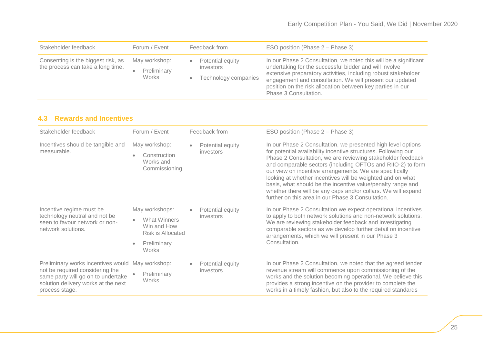| Stakeholder feedback                                                    | Forum / Event                                      | Feedback from                                                      | ESO position (Phase 2 – Phase 3)                                                                                                                                                                                                                                                                                                                |
|-------------------------------------------------------------------------|----------------------------------------------------|--------------------------------------------------------------------|-------------------------------------------------------------------------------------------------------------------------------------------------------------------------------------------------------------------------------------------------------------------------------------------------------------------------------------------------|
| Consenting is the biggest risk, as<br>the process can take a long time. | May workshop:<br>Preliminary<br>$\bullet$<br>Works | Potential equity<br>$\bullet$<br>investors<br>Technology companies | In our Phase 2 Consultation, we noted this will be a significant<br>undertaking for the successful bidder and will involve<br>extensive preparatory activities, including robust stakeholder<br>engagement and consultation. We will present our updated<br>position on the risk allocation between key parties in our<br>Phase 3 Consultation. |

#### **4.3 Rewards and Incentives**

| Stakeholder feedback                                                                                                                                                 | Forum / Event                                                                                     |   | Feedback from                 | ESO position (Phase 2 – Phase 3)                                                                                                                                                                                                                                                                                                                                                                                                                                                                                                                                           |
|----------------------------------------------------------------------------------------------------------------------------------------------------------------------|---------------------------------------------------------------------------------------------------|---|-------------------------------|----------------------------------------------------------------------------------------------------------------------------------------------------------------------------------------------------------------------------------------------------------------------------------------------------------------------------------------------------------------------------------------------------------------------------------------------------------------------------------------------------------------------------------------------------------------------------|
| Incentives should be tangible and<br>measurable.                                                                                                                     | May workshop:<br>Construction<br>$\bullet$<br>Works and<br>Commissioning                          | ٠ | Potential equity<br>investors | In our Phase 2 Consultation, we presented high level options<br>for potential availability incentive structures. Following our<br>Phase 2 Consultation, we are reviewing stakeholder feedback<br>and comparable sectors (including OFTOs and RIIO-2) to form<br>our view on incentive arrangements. We are specifically<br>looking at whether incentives will be weighted and on what<br>basis, what should be the incentive value/penalty range and<br>whether there will be any caps and/or collars. We will expand<br>further on this area in our Phase 3 Consultation. |
| Incentive regime must be<br>technology neutral and not be<br>seen to favour network or non-<br>network solutions.                                                    | May workshops:<br>What Winners<br>Win and How<br>Risk is Allocated<br>Preliminary<br><b>Works</b> |   | Potential equity<br>investors | In our Phase 2 Consultation we expect operational incentives<br>to apply to both network solutions and non-network solutions.<br>We are reviewing stakeholder feedback and investigating<br>comparable sectors as we develop further detail on incentive<br>arrangements, which we will present in our Phase 3<br>Consultation.                                                                                                                                                                                                                                            |
| Preliminary works incentives would<br>not be required considering the<br>same party will go on to undertake<br>solution delivery works at the next<br>process stage. | May workshop:<br>Preliminary<br><b>Works</b>                                                      |   | Potential equity<br>investors | In our Phase 2 Consultation, we noted that the agreed tender<br>revenue stream will commence upon commissioning of the<br>works and the solution becoming operational. We believe this<br>provides a strong incentive on the provider to complete the<br>works in a timely fashion, but also to the required standards                                                                                                                                                                                                                                                     |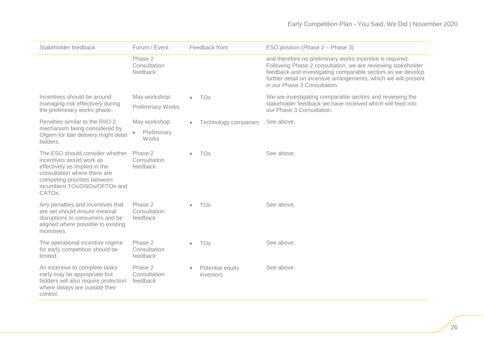| Stakeholder feedback                                                                                                                                                                                   | Forum / Event                       | Feedback from                 | ESO position (Phase 2 – Phase 3)                                                                                                                                                                                                                                                            |
|--------------------------------------------------------------------------------------------------------------------------------------------------------------------------------------------------------|-------------------------------------|-------------------------------|---------------------------------------------------------------------------------------------------------------------------------------------------------------------------------------------------------------------------------------------------------------------------------------------|
|                                                                                                                                                                                                        | Phase 2<br>Consultation<br>feedback |                               | and therefore no preliminary works incentive is required.<br>Following Phase 2 consultation, we are reviewing stakeholder<br>feedback and investigating comparable sectors as we develop<br>further detail on incentive arrangements, which we will present<br>in our Phase 3 Consultation. |
| Incentives should be around                                                                                                                                                                            | May workshop:                       | <b>TOs</b>                    | We are investigating comparable sectors and reviewing the<br>stakeholder feedback we have received which will feed into<br>our Phase 3 Consultation.                                                                                                                                        |
| managing risk effectively during<br>the preliminary works phase.                                                                                                                                       | <b>Preliminary Works</b>            |                               |                                                                                                                                                                                                                                                                                             |
| Penalties similar to the RIIO-2                                                                                                                                                                        | May workshop:                       | Technology companies          | See above.                                                                                                                                                                                                                                                                                  |
| mechanism being considered by<br>Ofgem for late delivery might deter<br>bidders.                                                                                                                       | Preliminary<br>$\bullet$<br>Works   |                               |                                                                                                                                                                                                                                                                                             |
| The ESO should consider whether<br>incentives would work as<br>effectively as implied in the<br>consultation where there are<br>competing priorities between<br>incumbent TOs/DNOs/OFTOs and<br>CATOs. | Phase 2<br>Consultation<br>feedback | <b>TOs</b>                    | See above.                                                                                                                                                                                                                                                                                  |
| Any penalties and incentives that<br>are set should ensure minimal<br>disruptions to consumers and be<br>aligned where possible to existing<br>incentives.                                             | Phase 2<br>Consultation<br>feedback | <b>TOs</b>                    | See above.                                                                                                                                                                                                                                                                                  |
| The operational incentive regime<br>for early competition should be<br>limited.                                                                                                                        | Phase 2<br>Consultation<br>feedback | <b>TOs</b>                    | See above.                                                                                                                                                                                                                                                                                  |
| An incentive to complete tasks<br>early may be appropriate but<br>bidders will also require protection<br>where delays are outside their<br>control.                                                   | Phase 2<br>Consultation<br>feedback | Potential equity<br>investors | See above.                                                                                                                                                                                                                                                                                  |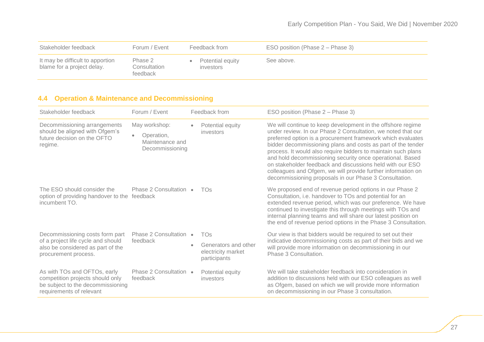| Stakeholder feedback                                           | Forum / Event                       | Feedback from                 | ESO position (Phase 2 – Phase 3) |
|----------------------------------------------------------------|-------------------------------------|-------------------------------|----------------------------------|
| It may be difficult to apportion<br>blame for a project delay. | Phase 2<br>Consultation<br>feedback | Potential equity<br>investors | See above.                       |

### **4.4 Operation & Maintenance and Decommissioning**

| Stakeholder feedback                                                                                                              | Forum / Event                                                     |                                                            | Feedback from                                                                                                                                     | ESO position (Phase 2 – Phase 3)                                                                                                                                                                                                                                                                                                                                                                                                                                                                                                                                                |
|-----------------------------------------------------------------------------------------------------------------------------------|-------------------------------------------------------------------|------------------------------------------------------------|---------------------------------------------------------------------------------------------------------------------------------------------------|---------------------------------------------------------------------------------------------------------------------------------------------------------------------------------------------------------------------------------------------------------------------------------------------------------------------------------------------------------------------------------------------------------------------------------------------------------------------------------------------------------------------------------------------------------------------------------|
| Decommissioning arrangements<br>should be aligned with Ofgem's<br>future decision on the OFTO<br>regime.                          | May workshop:<br>Operation,<br>Maintenance and<br>Decommissioning | $\bullet$                                                  | Potential equity<br>investors                                                                                                                     | We will continue to keep development in the offshore regime<br>under review. In our Phase 2 Consultation, we noted that our<br>preferred option is a procurement framework which evaluates<br>bidder decommissioning plans and costs as part of the tender<br>process. It would also require bidders to maintain such plans<br>and hold decommissioning security once operational. Based<br>on stakeholder feedback and discussions held with our ESO<br>colleagues and Ofgem, we will provide further information on<br>decommissioning proposals in our Phase 3 Consultation. |
| The ESO should consider the<br>option of providing handover to the feedback<br>incumbent TO.                                      | Phase 2 Consultation •                                            |                                                            | <b>TOs</b>                                                                                                                                        | We proposed end of revenue period options in our Phase 2<br>Consultation, i.e. handover to TOs and potential for an<br>extended revenue period, which was our preference. We have<br>continued to investigate this through meetings with TOs and<br>internal planning teams and will share our latest position on<br>the end of revenue period options in the Phase 3 Consultation.                                                                                                                                                                                             |
| Decommissioning costs form part                                                                                                   | Phase 2 Consultation •                                            |                                                            | <b>TO<sub>S</sub></b>                                                                                                                             | Our view is that bidders would be required to set out their                                                                                                                                                                                                                                                                                                                                                                                                                                                                                                                     |
| of a project life cycle and should<br>feedback<br>also be considered as part of the<br>procurement process.                       | $\bullet$                                                         | Generators and other<br>electricity market<br>participants | indicative decommissioning costs as part of their bids and we<br>will provide more information on decommissioning in our<br>Phase 3 Consultation. |                                                                                                                                                                                                                                                                                                                                                                                                                                                                                                                                                                                 |
| As with TOs and OFTOs, early<br>competition projects should only<br>be subject to the decommissioning<br>requirements of relevant | Phase 2 Consultation •<br>feedback                                |                                                            | Potential equity<br>investors                                                                                                                     | We will take stakeholder feedback into consideration in<br>addition to discussions held with our ESO colleagues as well<br>as Ofgem, based on which we will provide more information<br>on decommissioning in our Phase 3 consultation.                                                                                                                                                                                                                                                                                                                                         |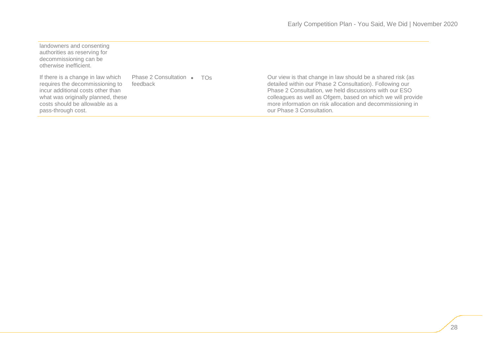landowners and consenting authorities as reserving for decommissioning can be otherwise inefficient.

If there is a change in law which requires the decommissioning to incur additional costs other than what was originally planned, these costs should be allowable as a pass-through cost.

Phase 2 Consultation • TOs feedback

Our view is that change in law should be a shared risk (as detailed within our Phase 2 Consultation). Following our Phase 2 Consultation, we held discussions with our ESO colleagues as well as Ofgem, based on which we will provide more information on risk allocation and decommissioning in our Phase 3 Consultation.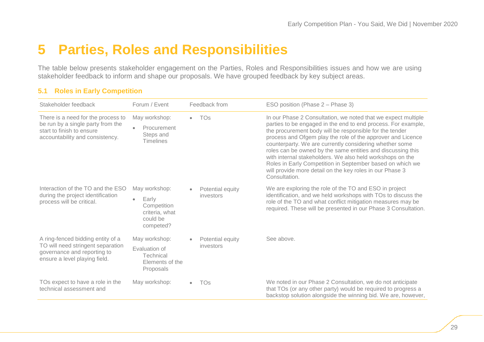# <span id="page-29-0"></span>**5 Parties, Roles and Responsibilities**

The table below presents stakeholder engagement on the Parties, Roles and Responsibilities issues and how we are using stakeholder feedback to inform and shape our proposals. We have grouped feedback by key subject areas.

| Stakeholder feedback                                                                                                                    | Forum / Event                                                                                 | Feedback from                 | ESO position (Phase 2 - Phase 3)                                                                                                                                                                                                                                                                                                                                                                                                                                                                                                                                                          |
|-----------------------------------------------------------------------------------------------------------------------------------------|-----------------------------------------------------------------------------------------------|-------------------------------|-------------------------------------------------------------------------------------------------------------------------------------------------------------------------------------------------------------------------------------------------------------------------------------------------------------------------------------------------------------------------------------------------------------------------------------------------------------------------------------------------------------------------------------------------------------------------------------------|
| There is a need for the process to<br>be run by a single party from the<br>start to finish to ensure<br>accountability and consistency. | May workshop:<br>Procurement<br>$\bullet$<br>Steps and<br><b>Timelines</b>                    | <b>TOs</b>                    | In our Phase 2 Consultation, we noted that we expect multiple<br>parties to be engaged in the end to end process. For example,<br>the procurement body will be responsible for the tender<br>process and Ofgem play the role of the approver and Licence<br>counterparty. We are currently considering whether some<br>roles can be owned by the same entities and discussing this<br>with internal stakeholders. We also held workshops on the<br>Roles in Early Competition in September based on which we<br>will provide more detail on the key roles in our Phase 3<br>Consultation. |
| Interaction of the TO and the ESO<br>during the project identification<br>process will be critical.                                     | May workshop:<br>Early<br>$\bullet$<br>Competition<br>criteria, what<br>could be<br>competed? | Potential equity<br>investors | We are exploring the role of the TO and ESO in project<br>identification, and we held workshops with TOs to discuss the<br>role of the TO and what conflict mitigation measures may be<br>required. These will be presented in our Phase 3 Consultation.                                                                                                                                                                                                                                                                                                                                  |
| A ring-fenced bidding entity of a<br>TO will need stringent separation<br>governance and reporting to<br>ensure a level playing field.  | May workshop:<br>Evaluation of<br>Technical<br>Elements of the<br>Proposals                   | Potential equity<br>investors | See above.                                                                                                                                                                                                                                                                                                                                                                                                                                                                                                                                                                                |
| TOs expect to have a role in the<br>technical assessment and                                                                            | May workshop:                                                                                 | TOs                           | We noted in our Phase 2 Consultation, we do not anticipate<br>that TOs (or any other party) would be required to progress a<br>backstop solution alongside the winning bid. We are, however,                                                                                                                                                                                                                                                                                                                                                                                              |

#### **5.1 Roles in Early Competition**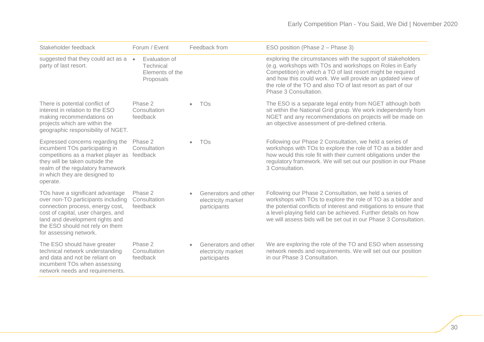| Stakeholder feedback                                                                                                                                                                                                                             | Forum / Event                                              | Feedback from                                              | ESO position (Phase 2 - Phase 3)                                                                                                                                                                                                                                                                                                                |
|--------------------------------------------------------------------------------------------------------------------------------------------------------------------------------------------------------------------------------------------------|------------------------------------------------------------|------------------------------------------------------------|-------------------------------------------------------------------------------------------------------------------------------------------------------------------------------------------------------------------------------------------------------------------------------------------------------------------------------------------------|
| suggested that they could act as a •<br>party of last resort.                                                                                                                                                                                    | Evaluation of<br>Technical<br>Elements of the<br>Proposals |                                                            | exploring the circumstances with the support of stakeholders<br>(e.g. workshops with TOs and workshops on Roles in Early<br>Competition) in which a TO of last resort might be required<br>and how this could work. We will provide an updated view of<br>the role of the TO and also TO of last resort as part of our<br>Phase 3 Consultation. |
| There is potential conflict of<br>interest in relation to the ESO<br>making recommendations on<br>projects which are within the<br>geographic responsibility of NGET.                                                                            | Phase 2<br>Consultation<br>feedback                        | <b>TOs</b>                                                 | The ESO is a separate legal entity from NGET although both<br>sit within the National Grid group. We work independently from<br>NGET and any recommendations on projects will be made on<br>an objective assessment of pre-defined criteria.                                                                                                    |
| Expressed concerns regarding the<br>incumbent TOs participating in<br>competitions as a market player as feedback<br>they will be taken outside the<br>realm of the regulatory framework<br>in which they are designed to<br>operate.            | Phase 2<br>Consultation                                    | <b>TOs</b>                                                 | Following our Phase 2 Consultation, we held a series of<br>workshops with TOs to explore the role of TO as a bidder and<br>how would this role fit with their current obligations under the<br>regulatory framework. We will set out our position in our Phase<br>3 Consultation.                                                               |
| TOs have a significant advantage<br>over non-TO participants including<br>connection process, energy cost,<br>cost of capital, user charges, and<br>land and development rights and<br>the ESO should not rely on them<br>for assessing network. | Phase 2<br>Consultation<br>feedback                        | Generators and other<br>electricity market<br>participants | Following our Phase 2 Consultation, we held a series of<br>workshops with TOs to explore the role of TO as a bidder and<br>the potential conflicts of interest and mitigations to ensure that<br>a level-playing field can be achieved. Further details on how<br>we will assess bids will be set out in our Phase 3 Consultation.              |
| The ESO should have greater<br>technical network understanding<br>and data and not be reliant on<br>incumbent TOs when assessing<br>network needs and requirements.                                                                              | Phase 2<br>Consultation<br>feedback                        | Generators and other<br>electricity market<br>participants | We are exploring the role of the TO and ESO when assessing<br>network needs and requirements. We will set out our position<br>in our Phase 3 Consultation.                                                                                                                                                                                      |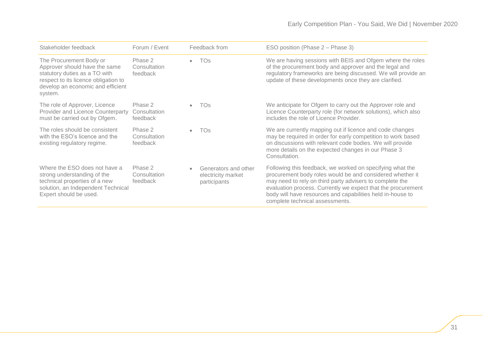### Early Competition Plan - You Said, We Did | November 2020

| Stakeholder feedback                                                                                                                                                              | Forum / Event                       | Feedback from                                                           | ESO position (Phase 2 – Phase 3)                                                                                                                                                                                                                                                                                                                    |
|-----------------------------------------------------------------------------------------------------------------------------------------------------------------------------------|-------------------------------------|-------------------------------------------------------------------------|-----------------------------------------------------------------------------------------------------------------------------------------------------------------------------------------------------------------------------------------------------------------------------------------------------------------------------------------------------|
| The Procurement Body or<br>Approver should have the same<br>statutory duties as a TO with<br>respect to its licence obligation to<br>develop an economic and efficient<br>system. | Phase 2<br>Consultation<br>feedback | <b>TOs</b><br>$\bullet$                                                 | We are having sessions with BEIS and Ofgem where the roles<br>of the procurement body and approver and the legal and<br>regulatory frameworks are being discussed. We will provide an<br>update of these developments once they are clarified.                                                                                                      |
| The role of Approver, Licence<br>Provider and Licence Counterparty<br>must be carried out by Ofgem.                                                                               | Phase 2<br>Consultation<br>feedback | TOs<br>$\bullet$                                                        | We anticipate for Ofgem to carry out the Approver role and<br>Licence Counterparty role (for network solutions), which also<br>includes the role of Licence Provider.                                                                                                                                                                               |
| The roles should be consistent<br>with the ESO's licence and the<br>existing regulatory regime.                                                                                   | Phase 2<br>Consultation<br>feedback | <b>TOs</b><br>$\bullet$                                                 | We are currently mapping out if licence and code changes<br>may be required in order for early competition to work based<br>on discussions with relevant code bodies. We will provide<br>more details on the expected changes in our Phase 3<br>Consultation.                                                                                       |
| Where the ESO does not have a<br>strong understanding of the<br>technical properties of a new<br>solution, an Independent Technical<br>Expert should be used.                     | Phase 2<br>Consultation<br>feedback | Generators and other<br>$\bullet$<br>electricity market<br>participants | Following this feedback, we worked on specifying what the<br>procurement body roles would be and considered whether it<br>may need to rely on third party advisers to complete the<br>evaluation process. Currently we expect that the procurement<br>body will have resources and capabilities held in-house to<br>complete technical assessments. |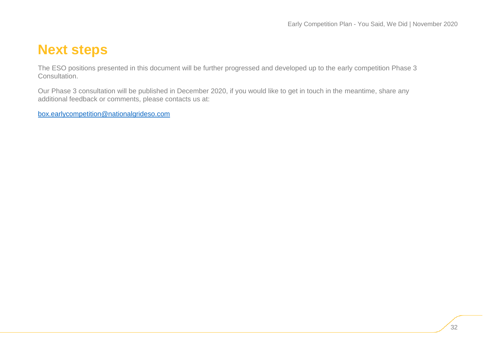# <span id="page-32-0"></span>**Next steps**

The ESO positions presented in this document will be further progressed and developed up to the early competition Phase 3 Consultation.

Our Phase 3 consultation will be published in December 2020, if you would like to get in touch in the meantime, share any additional feedback or comments, please contacts us at:

[box.earlycompetition@nationalgrideso.com](mailto:box.earlycompetition@nationalgrideso.com)